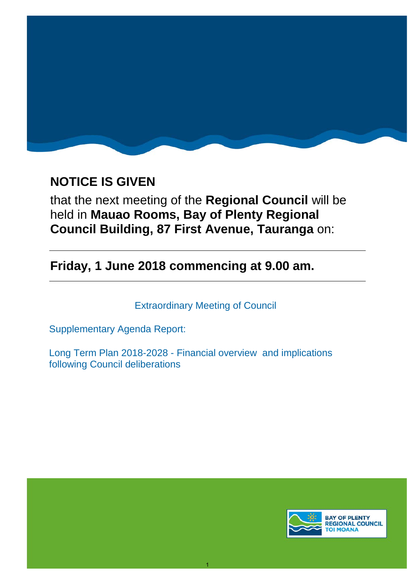

# **NOTICE IS GIVEN**

that the next meeting of the **Regional Council** will be held in **Mauao Rooms, Bay of Plenty Regional Council Building, 87 First Avenue, Tauranga** on:

**Friday, 1 June 2018 commencing at 9.00 am.**

Extraordinary Meeting of Council

1

Supplementary Agenda Report:

Long Term Plan 2018-2028 - Financial overview and implications following Council deliberations

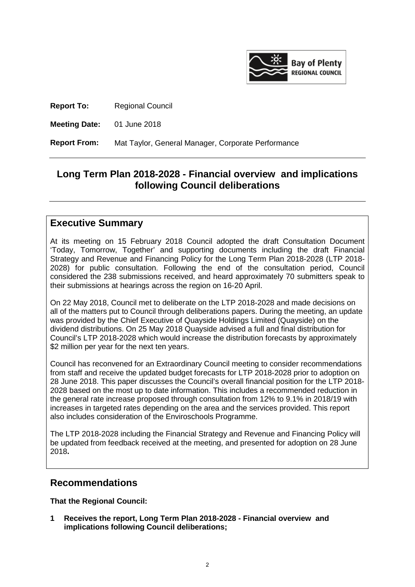

**Report To:** Regional Council

**Meeting Date:** 01 June 2018

**Report From:** Mat Taylor, General Manager, Corporate Performance

# **Long Term Plan 2018-2028 - Financial overview and implications following Council deliberations**

### **Executive Summary**

At its meeting on 15 February 2018 Council adopted the draft Consultation Document 'Today, Tomorrow, Together' and supporting documents including the draft Financial Strategy and Revenue and Financing Policy for the Long Term Plan 2018-2028 (LTP 2018- 2028) for public consultation. Following the end of the consultation period, Council considered the 238 submissions received, and heard approximately 70 submitters speak to their submissions at hearings across the region on 16-20 April.

On 22 May 2018, Council met to deliberate on the LTP 2018-2028 and made decisions on all of the matters put to Council through deliberations papers. During the meeting, an update was provided by the Chief Executive of Quayside Holdings Limited (Quayside) on the dividend distributions. On 25 May 2018 Quayside advised a full and final distribution for Council's LTP 2018-2028 which would increase the distribution forecasts by approximately \$2 million per year for the next ten years.

Council has reconvened for an Extraordinary Council meeting to consider recommendations from staff and receive the updated budget forecasts for LTP 2018-2028 prior to adoption on 28 June 2018. This paper discusses the Council's overall financial position for the LTP 2018- 2028 based on the most up to date information. This includes a recommended reduction in the general rate increase proposed through consultation from 12% to 9.1% in 2018/19 with increases in targeted rates depending on the area and the services provided. This report also includes consideration of the Enviroschools Programme.

The LTP 2018-2028 including the Financial Strategy and Revenue and Financing Policy will be updated from feedback received at the meeting, and presented for adoption on 28 June 2018**.**

## **Recommendations**

**That the Regional Council:**

**1 Receives the report, Long Term Plan 2018-2028 - Financial overview and implications following Council deliberations;**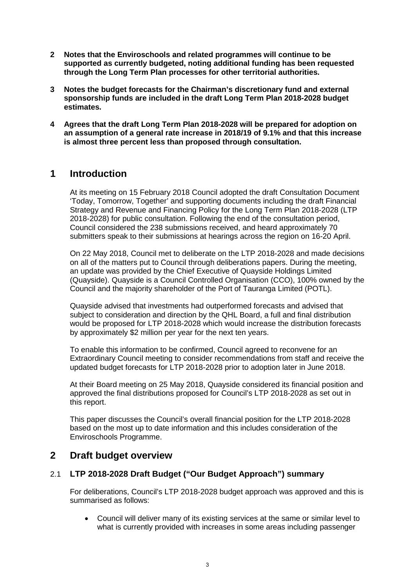- **2 Notes that the Enviroschools and related programmes will continue to be supported as currently budgeted, noting additional funding has been requested through the Long Term Plan processes for other territorial authorities.**
- **3 Notes the budget forecasts for the Chairman's discretionary fund and external sponsorship funds are included in the draft Long Term Plan 2018-2028 budget estimates.**
- **4 Agrees that the draft Long Term Plan 2018-2028 will be prepared for adoption on an assumption of a general rate increase in 2018/19 of 9.1% and that this increase is almost three percent less than proposed through consultation.**

## **1 Introduction**

At its meeting on 15 February 2018 Council adopted the draft Consultation Document 'Today, Tomorrow, Together' and supporting documents including the draft Financial Strategy and Revenue and Financing Policy for the Long Term Plan 2018-2028 (LTP 2018-2028) for public consultation. Following the end of the consultation period, Council considered the 238 submissions received, and heard approximately 70 submitters speak to their submissions at hearings across the region on 16-20 April.

On 22 May 2018, Council met to deliberate on the LTP 2018-2028 and made decisions on all of the matters put to Council through deliberations papers. During the meeting, an update was provided by the Chief Executive of Quayside Holdings Limited (Quayside). Quayside is a Council Controlled Organisation (CCO), 100% owned by the Council and the majority shareholder of the Port of Tauranga Limited (POTL).

Quayside advised that investments had outperformed forecasts and advised that subject to consideration and direction by the QHL Board, a full and final distribution would be proposed for LTP 2018-2028 which would increase the distribution forecasts by approximately \$2 million per year for the next ten years.

To enable this information to be confirmed, Council agreed to reconvene for an Extraordinary Council meeting to consider recommendations from staff and receive the updated budget forecasts for LTP 2018-2028 prior to adoption later in June 2018.

At their Board meeting on 25 May 2018, Quayside considered its financial position and approved the final distributions proposed for Council's LTP 2018-2028 as set out in this report.

This paper discusses the Council's overall financial position for the LTP 2018-2028 based on the most up to date information and this includes consideration of the Enviroschools Programme.

## **2 Draft budget overview**

### 2.1 **LTP 2018-2028 Draft Budget ("Our Budget Approach") summary**

For deliberations, Council's LTP 2018-2028 budget approach was approved and this is summarised as follows:

• Council will deliver many of its existing services at the same or similar level to what is currently provided with increases in some areas including passenger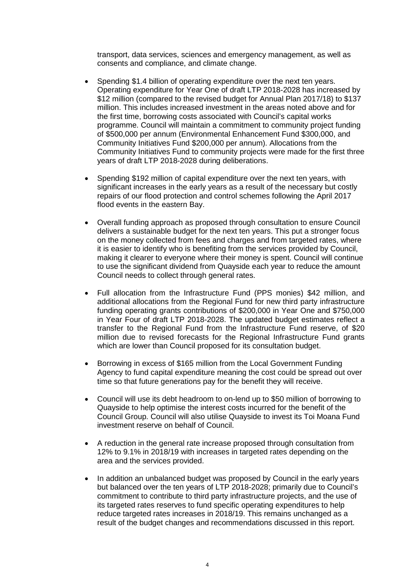transport, data services, sciences and emergency management, as well as consents and compliance, and climate change.

- Spending \$1.4 billion of operating expenditure over the next ten years. Operating expenditure for Year One of draft LTP 2018-2028 has increased by \$12 million (compared to the revised budget for Annual Plan 2017/18) to \$137 million. This includes increased investment in the areas noted above and for the first time, borrowing costs associated with Council's capital works programme. Council will maintain a commitment to community project funding of \$500,000 per annum (Environmental Enhancement Fund \$300,000, and Community Initiatives Fund \$200,000 per annum). Allocations from the Community Initiatives Fund to community projects were made for the first three years of draft LTP 2018-2028 during deliberations.
- Spending \$192 million of capital expenditure over the next ten years, with significant increases in the early years as a result of the necessary but costly repairs of our flood protection and control schemes following the April 2017 flood events in the eastern Bay.
- Overall funding approach as proposed through consultation to ensure Council delivers a sustainable budget for the next ten years. This put a stronger focus on the money collected from fees and charges and from targeted rates, where it is easier to identify who is benefiting from the services provided by Council, making it clearer to everyone where their money is spent. Council will continue to use the significant dividend from Quayside each year to reduce the amount Council needs to collect through general rates.
- Full allocation from the Infrastructure Fund (PPS monies) \$42 million, and additional allocations from the Regional Fund for new third party infrastructure funding operating grants contributions of \$200,000 in Year One and \$750,000 in Year Four of draft LTP 2018-2028. The updated budget estimates reflect a transfer to the Regional Fund from the Infrastructure Fund reserve, of \$20 million due to revised forecasts for the Regional Infrastructure Fund grants which are lower than Council proposed for its consultation budget.
- Borrowing in excess of \$165 million from the Local Government Funding Agency to fund capital expenditure meaning the cost could be spread out over time so that future generations pay for the benefit they will receive.
- Council will use its debt headroom to on-lend up to \$50 million of borrowing to Quayside to help optimise the interest costs incurred for the benefit of the Council Group. Council will also utilise Quayside to invest its Toi Moana Fund investment reserve on behalf of Council.
- A reduction in the general rate increase proposed through consultation from 12% to 9.1% in 2018/19 with increases in targeted rates depending on the area and the services provided.
- In addition an unbalanced budget was proposed by Council in the early years but balanced over the ten years of LTP 2018-2028; primarily due to Council's commitment to contribute to third party infrastructure projects, and the use of its targeted rates reserves to fund specific operating expenditures to help reduce targeted rates increases in 2018/19. This remains unchanged as a result of the budget changes and recommendations discussed in this report.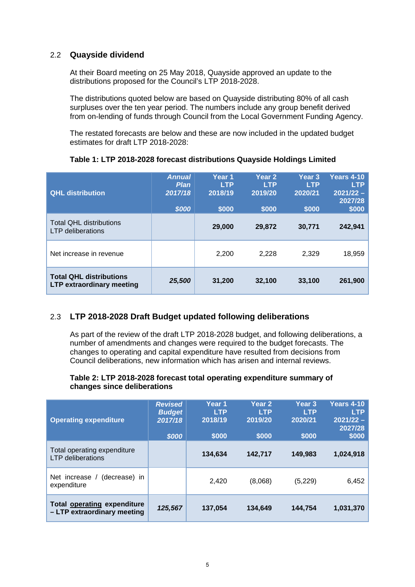### 2.2 **Quayside dividend**

At their Board meeting on 25 May 2018, Quayside approved an update to the distributions proposed for the Council's LTP 2018-2028.

The distributions quoted below are based on Quayside distributing 80% of all cash surpluses over the ten year period. The numbers include any group benefit derived from on-lending of funds through Council from the Local Government Funding Agency.

The restated forecasts are below and these are now included in the updated budget estimates for draft LTP 2018-2028:

| <b>QHL distribution</b>                                            | <b>Annual</b><br><b>Plan</b><br>2017/18<br>\$000 | Year 1<br><b>LTP</b><br>2018/19<br>\$000 | <b>Year 2</b><br><b>LTP</b><br>2019/20<br>\$000 | Year <sub>3</sub><br><b>LTP</b><br>2020/21<br>\$000 | <b>Years 4-10</b><br><b>LTP</b><br>$2021/22 -$<br>2027/28<br>\$000 |
|--------------------------------------------------------------------|--------------------------------------------------|------------------------------------------|-------------------------------------------------|-----------------------------------------------------|--------------------------------------------------------------------|
| <b>Total QHL distributions</b><br><b>LTP</b> deliberations         |                                                  | 29,000                                   | 29,872                                          | 30,771                                              | 242,941                                                            |
| Net increase in revenue                                            |                                                  | 2,200                                    | 2,228                                           | 2,329                                               | 18,959                                                             |
| <b>Total QHL distributions</b><br><b>LTP extraordinary meeting</b> | 25,500                                           | 31,200                                   | 32,100                                          | 33,100                                              | 261,900                                                            |

#### **Table 1: LTP 2018-2028 forecast distributions Quayside Holdings Limited**

### 2.3 **LTP 2018-2028 Draft Budget updated following deliberations**

As part of the review of the draft LTP 2018-2028 budget, and following deliberations, a number of amendments and changes were required to the budget forecasts. The changes to operating and capital expenditure have resulted from decisions from Council deliberations, new information which has arisen and internal reviews.

#### **Table 2: LTP 2018-2028 forecast total operating expenditure summary of changes since deliberations**

| <b>Operating expenditure</b>                                      | <b>Revised</b><br><b>Budget</b><br>2017/18<br>\$000 | Year 1<br><b>LTP</b><br>2018/19<br>\$000 | Year <sub>2</sub><br><b>LTP</b><br>2019/20<br>\$000 | Year <sub>3</sub><br><b>LTP</b><br>2020/21<br>\$000 | <b>Years 4-10</b><br><b>LTP</b><br>$2021/22 -$<br>2027/28<br>\$000 |
|-------------------------------------------------------------------|-----------------------------------------------------|------------------------------------------|-----------------------------------------------------|-----------------------------------------------------|--------------------------------------------------------------------|
| Total operating expenditure<br><b>LTP</b> deliberations           |                                                     | 134,634                                  | 142,717                                             | 149,983                                             | 1,024,918                                                          |
| (decrease) in<br>Net increase /<br>expenditure                    |                                                     | 2.420                                    | (8,068)                                             | (5, 229)                                            | 6,452                                                              |
| <b>Total operating expenditure</b><br>- LTP extraordinary meeting | 125,567                                             | 137,054                                  | 134,649                                             | 144,754                                             | 1,031,370                                                          |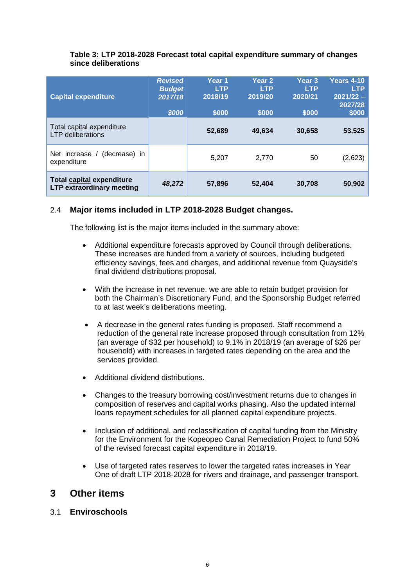#### **Table 3: LTP 2018-2028 Forecast total capital expenditure summary of changes since deliberations**

| <b>Capital expenditure</b>                                           | <b>Revised</b><br><b>Budget</b><br>2017/18<br>\$000 | Year 1<br><b>LTP</b><br>2018/19<br>\$000 | Year <sub>2</sub><br><b>LTP</b><br>2019/20<br>\$000 | Year <sub>3</sub><br><b>LTP</b><br>2020/21<br>\$000 | Years 4-10<br><b>LTP</b><br>$2021/22 -$<br>2027/28<br>\$000 |
|----------------------------------------------------------------------|-----------------------------------------------------|------------------------------------------|-----------------------------------------------------|-----------------------------------------------------|-------------------------------------------------------------|
| Total capital expenditure<br><b>LTP</b> deliberations                |                                                     | 52,689                                   | 49,634                                              | 30,658                                              | 53,525                                                      |
| Net increase / (decrease) in<br>expenditure                          |                                                     | 5,207                                    | 2,770                                               | 50                                                  | (2,623)                                                     |
| <b>Total capital expenditure</b><br><b>LTP extraordinary meeting</b> | 48,272                                              | 57,896                                   | 52,404                                              | 30,708                                              | 50,902                                                      |

### 2.4 **Major items included in LTP 2018-2028 Budget changes.**

The following list is the major items included in the summary above:

- Additional expenditure forecasts approved by Council through deliberations. These increases are funded from a variety of sources, including budgeted efficiency savings, fees and charges, and additional revenue from Quayside's final dividend distributions proposal.
- With the increase in net revenue, we are able to retain budget provision for both the Chairman's Discretionary Fund, and the Sponsorship Budget referred to at last week's deliberations meeting.
- A decrease in the general rates funding is proposed. Staff recommend a reduction of the general rate increase proposed through consultation from 12% (an average of \$32 per household) to 9.1% in 2018/19 (an average of \$26 per household) with increases in targeted rates depending on the area and the services provided.
- Additional dividend distributions.
- Changes to the treasury borrowing cost/investment returns due to changes in composition of reserves and capital works phasing. Also the updated internal loans repayment schedules for all planned capital expenditure projects.
- Inclusion of additional, and reclassification of capital funding from the Ministry for the Environment for the Kopeopeo Canal Remediation Project to fund 50% of the revised forecast capital expenditure in 2018/19.
- Use of targeted rates reserves to lower the targeted rates increases in Year One of draft LTP 2018-2028 for rivers and drainage, and passenger transport.

## **3 Other items**

### 3.1 **Enviroschools**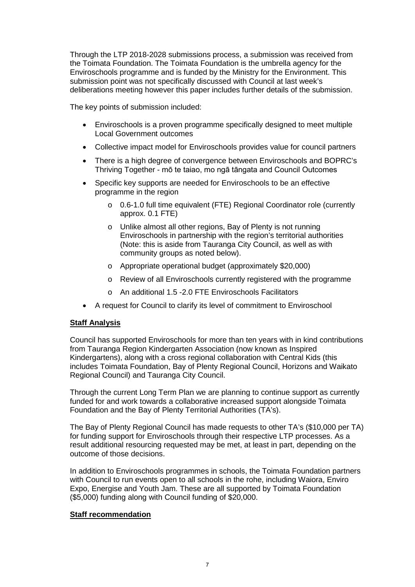Through the LTP 2018-2028 submissions process, a submission was received from the Toimata Foundation. The Toimata Foundation is the umbrella agency for the Enviroschools programme and is funded by the Ministry for the Environment. This submission point was not specifically discussed with Council at last week's deliberations meeting however this paper includes further details of the submission.

The key points of submission included:

- Enviroschools is a proven programme specifically designed to meet multiple Local Government outcomes
- Collective impact model for Enviroschools provides value for council partners
- There is a high degree of convergence between Enviroschools and BOPRC's Thriving Together - mō te taiao, mo ngā tāngata and Council Outcomes
- Specific key supports are needed for Enviroschools to be an effective programme in the region
	- o 0.6-1.0 full time equivalent (FTE) Regional Coordinator role (currently approx. 0.1 FTE)
	- o Unlike almost all other regions, Bay of Plenty is not running Enviroschools in partnership with the region's territorial authorities (Note: this is aside from Tauranga City Council, as well as with community groups as noted below).
	- o Appropriate operational budget (approximately \$20,000)
	- o Review of all Enviroschools currently registered with the programme
	- o An additional 1.5 -2.0 FTE Enviroschools Facilitators
- A request for Council to clarify its level of commitment to Enviroschool

#### **Staff Analysis**

Council has supported Enviroschools for more than ten years with in kind contributions from Tauranga Region Kindergarten Association (now known as Inspired Kindergartens), along with a cross regional collaboration with Central Kids (this includes Toimata Foundation, Bay of Plenty Regional Council, Horizons and Waikato Regional Council) and Tauranga City Council.

Through the current Long Term Plan we are planning to continue support as currently funded for and work towards a collaborative increased support alongside Toimata Foundation and the Bay of Plenty Territorial Authorities (TA's).

The Bay of Plenty Regional Council has made requests to other TA's (\$10,000 per TA) for funding support for Enviroschools through their respective LTP processes. As a result additional resourcing requested may be met, at least in part, depending on the outcome of those decisions.

In addition to Enviroschools programmes in schools, the Toimata Foundation partners with Council to run events open to all schools in the rohe, including Waiora, Enviro Expo, Energise and Youth Jam. These are all supported by Toimata Foundation (\$5,000) funding along with Council funding of \$20,000.

#### **Staff recommendation**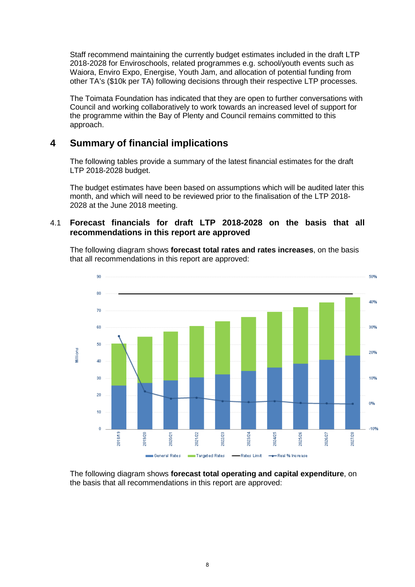Staff recommend maintaining the currently budget estimates included in the draft LTP 2018-2028 for Enviroschools, related programmes e.g. school/youth events such as Waiora, Enviro Expo, Energise, Youth Jam, and allocation of potential funding from other TA's (\$10k per TA) following decisions through their respective LTP processes.

The Toimata Foundation has indicated that they are open to further conversations with Council and working collaboratively to work towards an increased level of support for the programme within the Bay of Plenty and Council remains committed to this approach.

# **4 Summary of financial implications**

The following tables provide a summary of the latest financial estimates for the draft LTP 2018-2028 budget.

The budget estimates have been based on assumptions which will be audited later this month, and which will need to be reviewed prior to the finalisation of the LTP 2018- 2028 at the June 2018 meeting.

### 4.1 **Forecast financials for draft LTP 2018-2028 on the basis that all recommendations in this report are approved**

The following diagram shows **forecast total rates and rates increases**, on the basis that all recommendations in this report are approved:



The following diagram shows **forecast total operating and capital expenditure**, on the basis that all recommendations in this report are approved: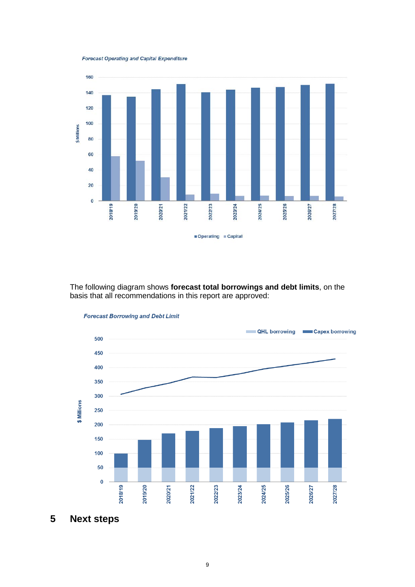**Forecast Operating and Capital Expenditure** 



The following diagram shows **forecast total borrowings and debt limits**, on the basis that all recommendations in this report are approved:



**Forecast Borrowing and Debt Limit** 

**5 Next steps**